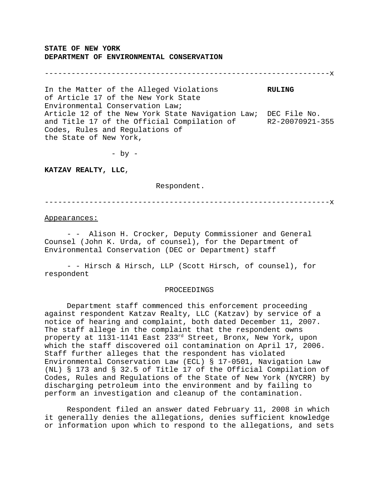**STATE OF NEW YORK DEPARTMENT OF ENVIRONMENTAL CONSERVATION**

----------------------------------------------------------------x

In the Matter of the Alleged Violations **RULING** of Article 17 of the New York State Environmental Conservation Law; Article 12 of the New York State Navigation Law; DEC File No. and Title 17 of the Official Compilation of R2-20070921-355 Codes, Rules and Regulations of the State of New York,

 $-$  by  $-$ 

**KATZAV REALTY, LLC**,

Respondent.

----------------------------------------------------------------x

## Appearances:

- - Alison H. Crocker, Deputy Commissioner and General Counsel (John K. Urda, of counsel), for the Department of Environmental Conservation (DEC or Department) staff

- - Hirsch & Hirsch, LLP (Scott Hirsch, of counsel), for respondent

## PROCEEDINGS

Department staff commenced this enforcement proceeding against respondent Katzav Realty, LLC (Katzav) by service of a notice of hearing and complaint, both dated December 11, 2007. The staff allege in the complaint that the respondent owns property at 1131-1141 East 233rd Street, Bronx, New York, upon which the staff discovered oil contamination on April 17, 2006. Staff further alleges that the respondent has violated Environmental Conservation Law (ECL) § 17-0501, Navigation Law (NL) § 173 and § 32.5 of Title 17 of the Official Compilation of Codes, Rules and Regulations of the State of New York (NYCRR) by discharging petroleum into the environment and by failing to perform an investigation and cleanup of the contamination.

Respondent filed an answer dated February 11, 2008 in which it generally denies the allegations, denies sufficient knowledge or information upon which to respond to the allegations, and sets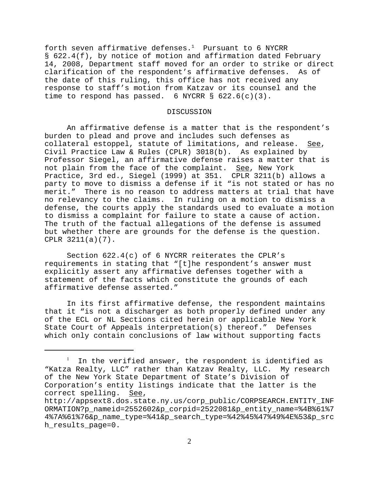forth seven affirmative defenses.<sup>1</sup> Pursuant to 6 NYCRR § 622.4(f), by notice of motion and affirmation dated February 14, 2008, Department staff moved for an order to strike or direct clarification of the respondent's affirmative defenses. As of the date of this ruling, this office has not received any response to staff's motion from Katzav or its counsel and the time to respond has passed. 6 NYCRR  $\S$  622.6(c)(3).

## DISCUSSION

An affirmative defense is a matter that is the respondent's burden to plead and prove and includes such defenses as collateral estoppel, statute of limitations, and release. See, Civil Practice Law & Rules (CPLR) 3018(b). As explained by Professor Siegel, an affirmative defense raises a matter that is not plain from the face of the complaint. See, New York Practice, 3rd ed., Siegel (1999) at 351. CPLR 3211(b) allows a party to move to dismiss a defense if it "is not stated or has no merit." There is no reason to address matters at trial that have no relevancy to the claims. In ruling on a motion to dismiss a defense, the courts apply the standards used to evaluate a motion to dismiss a complaint for failure to state a cause of action. The truth of the factual allegations of the defense is assumed but whether there are grounds for the defense is the question. CPLR 3211(a)(7).

Section 622.4(c) of 6 NYCRR reiterates the CPLR's requirements in stating that "[t]he respondent's answer must explicitly assert any affirmative defenses together with a statement of the facts which constitute the grounds of each affirmative defense asserted."

In its first affirmative defense, the respondent maintains that it "is not a discharger as both properly defined under any of the ECL or NL Sections cited herein or applicable New York State Court of Appeals interpretation(s) thereof." Defenses which only contain conclusions of law without supporting facts

 $^{\rm l}$  In the verified answer, the respondent is identified as "Katza Realty, LLC" rather than Katzav Realty, LLC. My research of the New York State Department of State's Division of Corporation's entity listings indicate that the latter is the correct spelling. See,

http://appsext8.dos.state.ny.us/corp\_public/CORPSEARCH.ENTITY\_INF ORMATION?p\_nameid=2552602&p\_corpid=2522081&p\_entity\_name=%4B%61%7 4%7A%61%76&p\_name\_type=%41&p\_search\_type=%42%45%47%49%4E%53&p\_src h\_results\_page=0.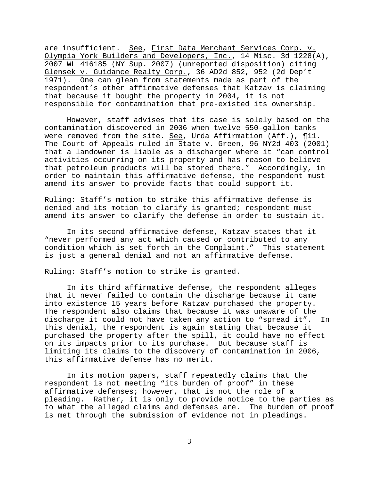are insufficient. See, First Data Merchant Services Corp. v. Olympia York Builders and Developers, Inc., 14 Misc. 3d 1228(A), 2007 WL 416185 (NY Sup. 2007) (unreported disposition) citing Glensek v. Guidance Realty Corp., 36 AD2d 852, 952 (2d Dep't 1971). One can glean from statements made as part of the respondent's other affirmative defenses that Katzav is claiming that because it bought the property in 2004, it is not responsible for contamination that pre-existed its ownership.

However, staff advises that its case is solely based on the contamination discovered in 2006 when twelve 550-gallon tanks were removed from the site. See, Urda Affirmation (Aff.),  $\P{11}$ . The Court of Appeals ruled in State v. Green, 96 NY2d 403 (2001) that a landowner is liable as a discharger where it "can control activities occurring on its property and has reason to believe that petroleum products will be stored there." Accordingly, in order to maintain this affirmative defense, the respondent must amend its answer to provide facts that could support it.

Ruling: Staff's motion to strike this affirmative defense is denied and its motion to clarify is granted; respondent must amend its answer to clarify the defense in order to sustain it.

In its second affirmative defense, Katzav states that it "never performed any act which caused or contributed to any condition which is set forth in the Complaint." This statement is just a general denial and not an affirmative defense.

Ruling: Staff's motion to strike is granted.

In its third affirmative defense, the respondent alleges that it never failed to contain the discharge because it came into existence 15 years before Katzav purchased the property. The respondent also claims that because it was unaware of the discharge it could not have taken any action to "spread it". In this denial, the respondent is again stating that because it purchased the property after the spill, it could have no effect on its impacts prior to its purchase. But because staff is limiting its claims to the discovery of contamination in 2006, this affirmative defense has no merit.

In its motion papers, staff repeatedly claims that the respondent is not meeting "its burden of proof" in these affirmative defenses; however, that is not the role of a pleading. Rather, it is only to provide notice to the parties as to what the alleged claims and defenses are. The burden of proof is met through the submission of evidence not in pleadings.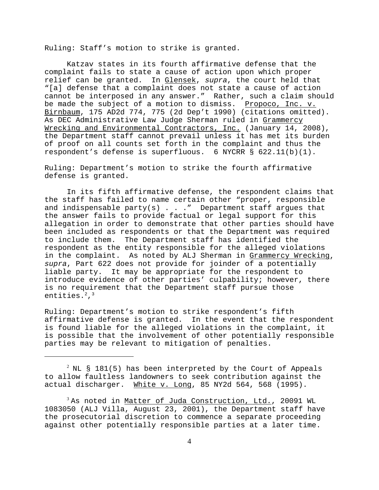Ruling: Staff's motion to strike is granted.

Katzav states in its fourth affirmative defense that the complaint fails to state a cause of action upon which proper relief can be granted. In Glensek, *supra*, the court held that "[a] defense that a complaint does not state a cause of action cannot be interposed in any answer." Rather, such a claim should be made the subject of a motion to dismiss. Propoco, Inc. v. Birnbaum, 175 AD2d 774, 775 (2d Dep't 1990) (citations omitted). As DEC Administrative Law Judge Sherman ruled in Grammercy Wrecking and Environmental Contractors, Inc. (January 14, 2008), the Department staff cannot prevail unless it has met its burden of proof on all counts set forth in the complaint and thus the respondent's defense is superfluous. 6 NYCRR § 622.11(b)(1).

Ruling: Department's motion to strike the fourth affirmative defense is granted.

In its fifth affirmative defense, the respondent claims that the staff has failed to name certain other "proper, responsible and indispensable party(s)  $\ldots$  " Department staff argues that the answer fails to provide factual or legal support for this allegation in order to demonstrate that other parties should have been included as respondents or that the Department was required to include them. The Department staff has identified the respondent as the entity responsible for the alleged violations in the complaint. As noted by ALJ Sherman in Grammercy Wrecking, *supra*, Part 622 does not provide for joinder of a potentially liable party. It may be appropriate for the respondent to introduce evidence of other parties' culpability; however, there is no requirement that the Department staff pursue those entities. $2,3$ 

Ruling: Department's motion to strike respondent's fifth affirmative defense is granted. In the event that the respondent is found liable for the alleged violations in the complaint, it is possible that the involvement of other potentially responsible parties may be relevant to mitigation of penalties.

 $^2$  NL § 181(5) has been interpreted by the Court of Appeals to allow faultless landowners to seek contribution against the actual discharger. White v. Long, 85 NY2d 564, 568 (1995).

 $3$  As noted in Matter of Juda Construction, Ltd., 20091 WL 1083050 (ALJ Villa, August 23, 2001), the Department staff have the prosecutorial discretion to commence a separate proceeding against other potentially responsible parties at a later time.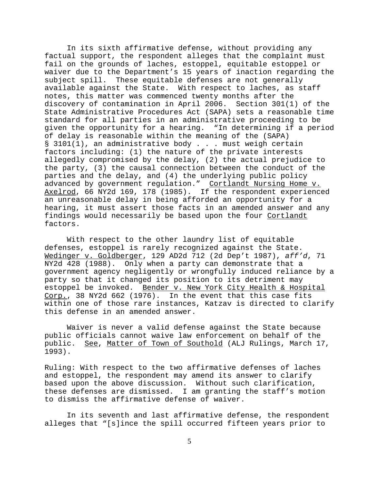In its sixth affirmative defense, without providing any factual support, the respondent alleges that the complaint must fail on the grounds of laches, estoppel, equitable estoppel or waiver due to the Department's 15 years of inaction regarding the subject spill. These equitable defenses are not generally available against the State. With respect to laches, as staff notes, this matter was commenced twenty months after the discovery of contamination in April 2006. Section 301(1) of the State Administrative Procedures Act (SAPA) sets a reasonable time standard for all parties in an administrative proceeding to be given the opportunity for a hearing. "In determining if a period of delay is reasonable within the meaning of the (SAPA)  $\S$  3101(1), an administrative body . . . must weigh certain factors including: (1) the nature of the private interests allegedly compromised by the delay, (2) the actual prejudice to the party, (3) the causal connection between the conduct of the parties and the delay, and (4) the underlying public policy advanced by government regulation." Cortlandt Nursing Home v. Axelrod, 66 NY2d 169, 178 (1985). If the respondent experienced an unreasonable delay in being afforded an opportunity for a hearing, it must assert those facts in an amended answer and any findings would necessarily be based upon the four Cortlandt factors.

With respect to the other laundry list of equitable defenses, estoppel is rarely recognized against the State. Wedinger v. Goldberger, 129 AD2d 712 (2d Dep't 1987), *aff'd*, 71 NY2d 428 (1988). Only when a party can demonstrate that a government agency negligently or wrongfully induced reliance by a party so that it changed its position to its detriment may estoppel be invoked. Bender v. New York City Health & Hospital Corp., 38 NY2d 662 (1976). In the event that this case fits within one of those rare instances, Katzav is directed to clarify this defense in an amended answer.

Waiver is never a valid defense against the State because public officials cannot waive law enforcement on behalf of the public. See, Matter of Town of Southold (ALJ Rulings, March 17, 1993).

Ruling: With respect to the two affirmative defenses of laches and estoppel, the respondent may amend its answer to clarify based upon the above discussion. Without such clarification, these defenses are dismissed. I am granting the staff's motion to dismiss the affirmative defense of waiver.

In its seventh and last affirmative defense, the respondent alleges that "[s]ince the spill occurred fifteen years prior to